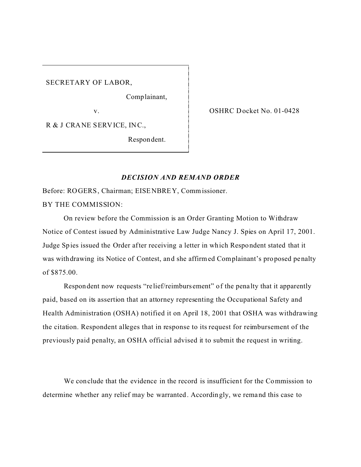SECRETARY OF LABOR,

Comp lainant,

v.

R & J CRANE SERVICE, INC.,

Respon dent.

OSHRC Docket No. 01-0428

## *DECISION AND REMAND ORDER*

Before: ROGERS, Chairman; EISENBREY, Commissioner. BY THE COMMISSION:

On review before the Commission is an Order Granting Motion to Withdraw Notice of Contest issued by Administrative Law Judge Nancy J. Spies on April 17, 2001. Judge Spies issued the Order after receiving a letter in which Respondent stated that it was withdrawing its Notice of Contest, and she affirmed Complainant's proposed penalty of \$875.00.

Respondent now requests "relief/reimburs ement" of the penalty that it apparently paid, based on its assertion that an attorney representing the Occupational Safety and Health Administration (OSHA) notified it on April 18, 2001 that OSHA was withdrawing the citation. Respondent alleges that in response to its request for reimbursement of the previously paid penalty, an OSHA official advised it to submit the request in writing.

We conclude that the evidence in the record is insufficient for the Commission to determine whether any relief may be warranted. Accordingly, we remand this case to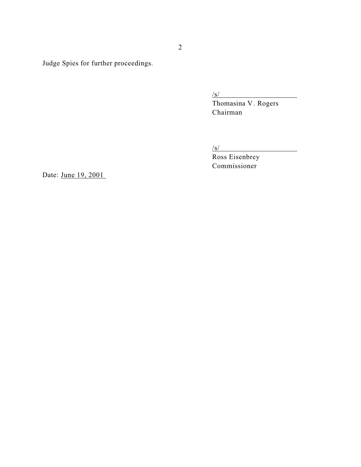Judge Spies for further proceedings.

/s/<br>Thomasina V. Rogers Chairman

/s/

Ross Eisenbrey Commissioner

Date: June 19, 2001